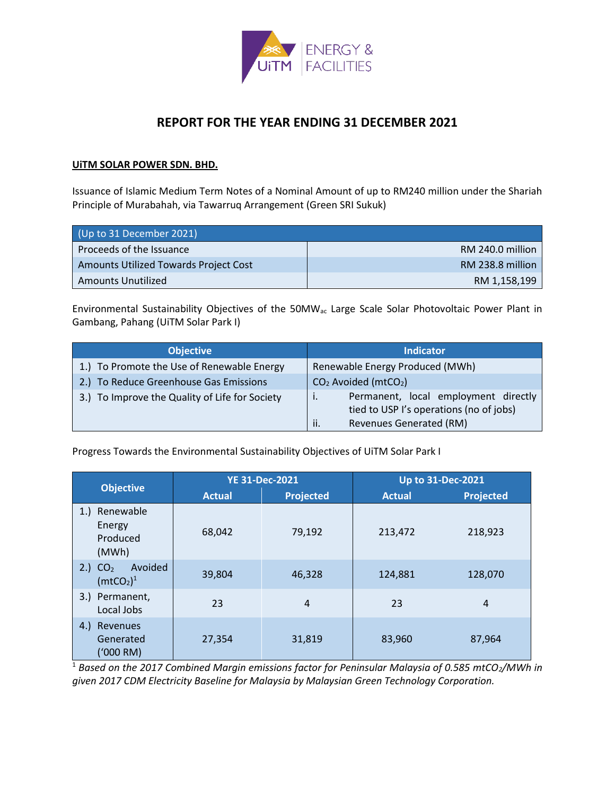

# **REPORT FOR THE YEAR ENDING 31 DECEMBER 2021**

#### **UiTM SOLAR POWER SDN. BHD.**

Issuance of Islamic Medium Term Notes of a Nominal Amount of up to RM240 million under the Shariah Principle of Murabahah, via Tawarruq Arrangement (Green SRI Sukuk)

| (Up to 31 December 2021)              |                  |  |
|---------------------------------------|------------------|--|
| Proceeds of the Issuance              | RM 240.0 million |  |
| Amounts Utilized Towards Project Cost | RM 238.8 million |  |
| Amounts Unutilized                    | RM 1,158,199     |  |

Environmental Sustainability Objectives of the 50MWac Large Scale Solar Photovoltaic Power Plant in Gambang, Pahang (UiTM Solar Park I)

| <b>Objective</b>                               | <b>Indicator</b>                                                                                                         |
|------------------------------------------------|--------------------------------------------------------------------------------------------------------------------------|
| 1.) To Promote the Use of Renewable Energy     | Renewable Energy Produced (MWh)                                                                                          |
| 2.) To Reduce Greenhouse Gas Emissions         | $CO2$ Avoided (mtCO <sub>2</sub> )                                                                                       |
| 3.) To Improve the Quality of Life for Society | Permanent, local employment directly<br>tied to USP I's operations (no of jobs)<br><b>Revenues Generated (RM)</b><br>ii. |

Progress Towards the Environmental Sustainability Objectives of UiTM Solar Park I

|                                                                        | <b>YE 31-Dec-2021</b> |           | <b>Up to 31-Dec-2021</b> |           |
|------------------------------------------------------------------------|-----------------------|-----------|--------------------------|-----------|
| <b>Objective</b>                                                       | <b>Actual</b>         | Projected | <b>Actual</b>            | Projected |
| Renewable<br>1.<br>Energy<br>Produced<br>(MWh)                         | 68,042                | 79,192    | 213,472                  | 218,923   |
| Avoided<br>CO <sub>2</sub><br>2.)<br>(mtCO <sub>2</sub> ) <sup>1</sup> | 39,804                | 46,328    | 124,881                  | 128,070   |
| 3.) Permanent,<br>Local Jobs                                           | 23                    | 4         | 23                       | 4         |
| Revenues<br>(4.)<br>Generated<br>$(1000 \text{ RM})$                   | 27,354                | 31,819    | 83,960                   | 87,964    |

<sup>1</sup> Based on the 2017 Combined Margin emissions factor for Peninsular Malaysia of 0.585 mtCO<sub>2</sub>/MWh in *given 2017 CDM Electricity Baseline for Malaysia by Malaysian Green Technology Corporation.*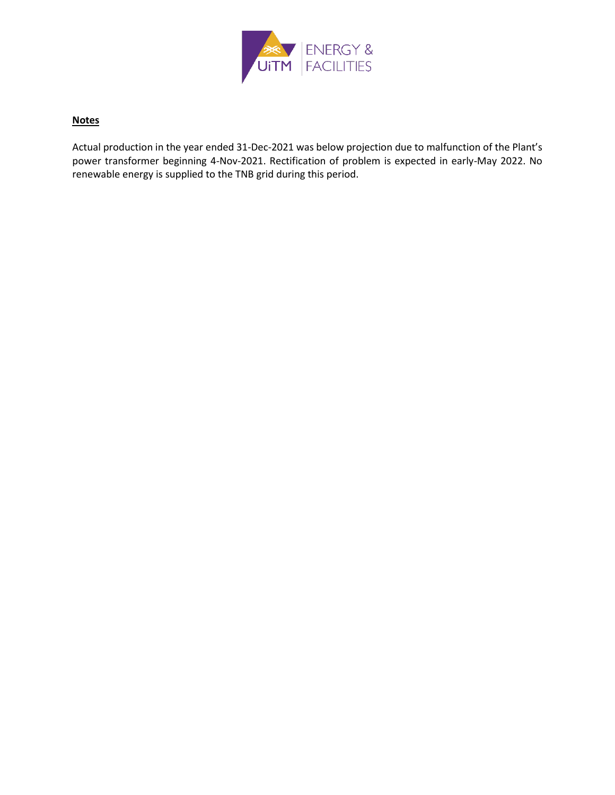

### **Notes**

Actual production in the year ended 31-Dec-2021 was below projection due to malfunction of the Plant's power transformer beginning 4-Nov-2021. Rectification of problem is expected in early-May 2022. No renewable energy is supplied to the TNB grid during this period.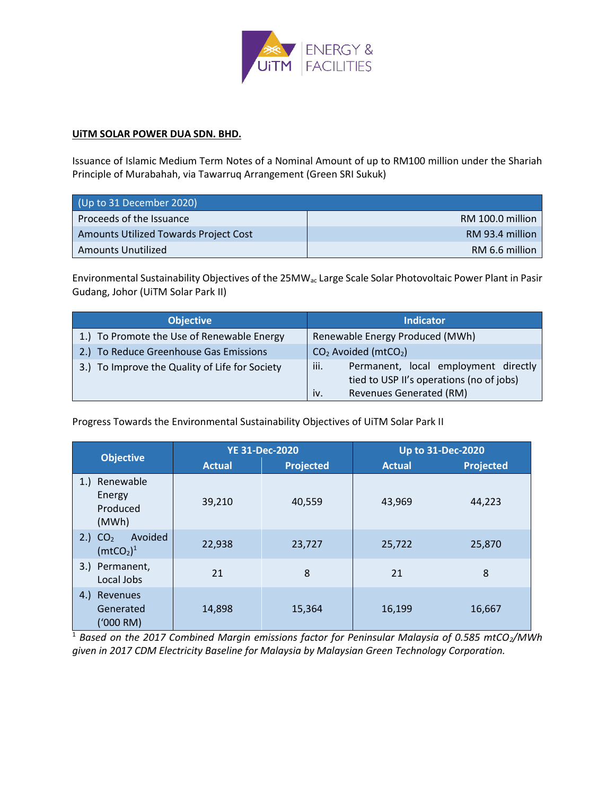

#### **UiTM SOLAR POWER DUA SDN. BHD.**

Issuance of Islamic Medium Term Notes of a Nominal Amount of up to RM100 million under the Shariah Principle of Murabahah, via Tawarruq Arrangement (Green SRI Sukuk)

| (Up to 31 December 2020)              |                  |
|---------------------------------------|------------------|
| Proceeds of the Issuance              | RM 100.0 million |
| Amounts Utilized Towards Project Cost | RM 93.4 million  |
| Amounts Unutilized                    | RM 6.6 million   |

Environmental Sustainability Objectives of the 25MWac Large Scale Solar Photovoltaic Power Plant in Pasir Gudang, Johor (UiTM Solar Park II)

| <b>Objective</b>                               | <b>Indicator</b>                                                                                                                  |
|------------------------------------------------|-----------------------------------------------------------------------------------------------------------------------------------|
| 1.) To Promote the Use of Renewable Energy     | Renewable Energy Produced (MWh)                                                                                                   |
| 2.) To Reduce Greenhouse Gas Emissions         | $CO2$ Avoided (mtCO <sub>2</sub> )                                                                                                |
| 3.) To Improve the Quality of Life for Society | iii.<br>Permanent, local employment directly<br>tied to USP II's operations (no of jobs)<br><b>Revenues Generated (RM)</b><br>iv. |

Progress Towards the Environmental Sustainability Objectives of UiTM Solar Park II

|                                                                        | <b>YE 31-Dec-2020</b> |           | <b>Up to 31-Dec-2020</b> |           |
|------------------------------------------------------------------------|-----------------------|-----------|--------------------------|-----------|
| <b>Objective</b>                                                       | <b>Actual</b>         | Projected | <b>Actual</b>            | Projected |
| Renewable<br>1.<br>Energy<br>Produced<br>(MWh)                         | 39,210                | 40,559    | 43,969                   | 44,223    |
| Avoided<br>CO <sub>2</sub><br>2.1<br>(mtCO <sub>2</sub> ) <sup>1</sup> | 22,938                | 23,727    | 25,722                   | 25,870    |
| 3.) Permanent,<br>Local Jobs                                           | 21                    | 8         | 21                       | 8         |
| Revenues<br>(4.)<br>Generated<br>('000 RM)                             | 14,898                | 15,364    | 16,199                   | 16,667    |

<sup>1</sup> Based on the 2017 Combined Margin emissions factor for Peninsular Malaysia of 0.585 mtCO<sub>2</sub>/MWh *given in 2017 CDM Electricity Baseline for Malaysia by Malaysian Green Technology Corporation.*